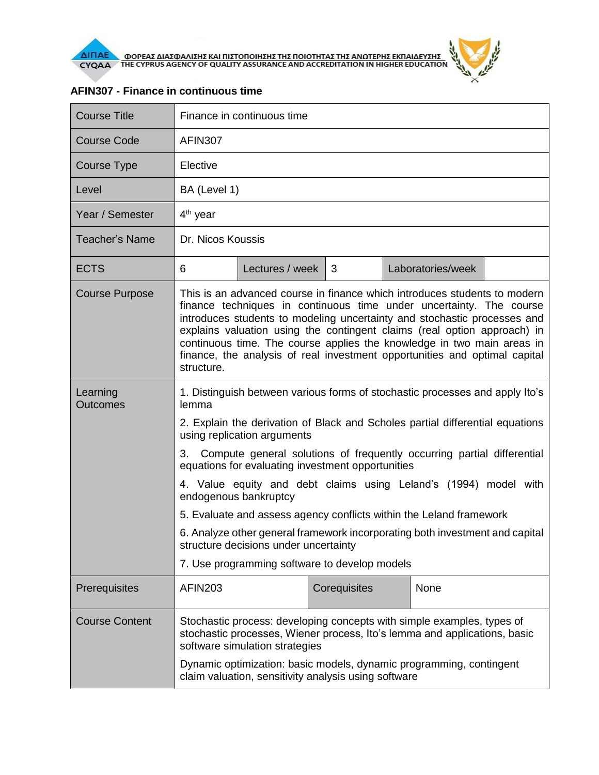

| <b>Course Title</b>         | Finance in continuous time                                                                                                                                                                                                                                                                                                                                                                                                                                                     |                 |              |                   |  |  |
|-----------------------------|--------------------------------------------------------------------------------------------------------------------------------------------------------------------------------------------------------------------------------------------------------------------------------------------------------------------------------------------------------------------------------------------------------------------------------------------------------------------------------|-----------------|--------------|-------------------|--|--|
| <b>Course Code</b>          | <b>AFIN307</b>                                                                                                                                                                                                                                                                                                                                                                                                                                                                 |                 |              |                   |  |  |
| Course Type                 | Elective                                                                                                                                                                                                                                                                                                                                                                                                                                                                       |                 |              |                   |  |  |
| Level                       | BA (Level 1)                                                                                                                                                                                                                                                                                                                                                                                                                                                                   |                 |              |                   |  |  |
| Year / Semester             | $4th$ year                                                                                                                                                                                                                                                                                                                                                                                                                                                                     |                 |              |                   |  |  |
| Teacher's Name              | Dr. Nicos Koussis                                                                                                                                                                                                                                                                                                                                                                                                                                                              |                 |              |                   |  |  |
| <b>ECTS</b>                 | 6                                                                                                                                                                                                                                                                                                                                                                                                                                                                              | Lectures / week | 3            | Laboratories/week |  |  |
| <b>Course Purpose</b>       | This is an advanced course in finance which introduces students to modern<br>finance techniques in continuous time under uncertainty. The course<br>introduces students to modeling uncertainty and stochastic processes and<br>explains valuation using the contingent claims (real option approach) in<br>continuous time. The course applies the knowledge in two main areas in<br>finance, the analysis of real investment opportunities and optimal capital<br>structure. |                 |              |                   |  |  |
| Learning<br><b>Outcomes</b> | 1. Distinguish between various forms of stochastic processes and apply Ito's<br>lemma                                                                                                                                                                                                                                                                                                                                                                                          |                 |              |                   |  |  |
|                             | 2. Explain the derivation of Black and Scholes partial differential equations<br>using replication arguments                                                                                                                                                                                                                                                                                                                                                                   |                 |              |                   |  |  |
|                             | Compute general solutions of frequently occurring partial differential<br>3.<br>equations for evaluating investment opportunities                                                                                                                                                                                                                                                                                                                                              |                 |              |                   |  |  |
|                             | 4. Value equity and debt claims using Leland's (1994) model with<br>endogenous bankruptcy                                                                                                                                                                                                                                                                                                                                                                                      |                 |              |                   |  |  |
|                             | 5. Evaluate and assess agency conflicts within the Leland framework                                                                                                                                                                                                                                                                                                                                                                                                            |                 |              |                   |  |  |
|                             | 6. Analyze other general framework incorporating both investment and capital<br>structure decisions under uncertainty                                                                                                                                                                                                                                                                                                                                                          |                 |              |                   |  |  |
|                             | 7. Use programming software to develop models                                                                                                                                                                                                                                                                                                                                                                                                                                  |                 |              |                   |  |  |
| Prerequisites               | <b>AFIN203</b>                                                                                                                                                                                                                                                                                                                                                                                                                                                                 |                 | Corequisites | None              |  |  |
| <b>Course Content</b>       | Stochastic process: developing concepts with simple examples, types of<br>stochastic processes, Wiener process, Ito's lemma and applications, basic<br>software simulation strategies                                                                                                                                                                                                                                                                                          |                 |              |                   |  |  |
|                             | Dynamic optimization: basic models, dynamic programming, contingent<br>claim valuation, sensitivity analysis using software                                                                                                                                                                                                                                                                                                                                                    |                 |              |                   |  |  |

## **AFIN307 - Finance in continuous time**